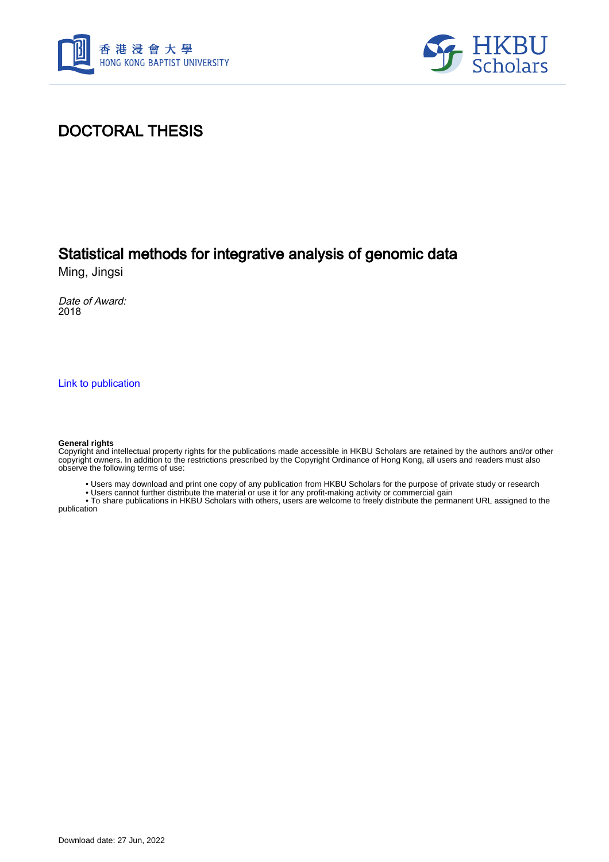



## DOCTORAL THESIS

## Statistical methods for integrative analysis of genomic data

Ming, Jingsi

Date of Award: 2018

[Link to publication](https://scholars.hkbu.edu.hk/en/studentTheses/0482058a-ccd4-4068-9b4f-6cb14a57bf80)

#### **General rights**

Copyright and intellectual property rights for the publications made accessible in HKBU Scholars are retained by the authors and/or other copyright owners. In addition to the restrictions prescribed by the Copyright Ordinance of Hong Kong, all users and readers must also observe the following terms of use:

• Users may download and print one copy of any publication from HKBU Scholars for the purpose of private study or research

• Users cannot further distribute the material or use it for any profit-making activity or commercial gain

 • To share publications in HKBU Scholars with others, users are welcome to freely distribute the permanent URL assigned to the publication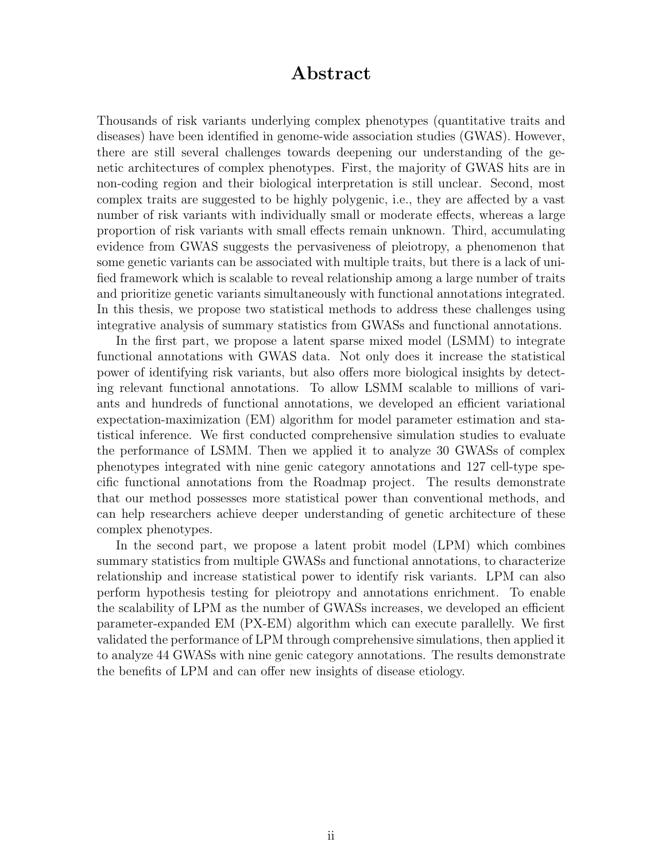### Abstract

Thousands of risk variants underlying complex phenotypes (quantitative traits and diseases) have been identified in genome-wide association studies (GWAS). However, there are still several challenges towards deepening our understanding of the genetic architectures of complex phenotypes. First, the majority of GWAS hits are in non-coding region and their biological interpretation is still unclear. Second, most complex traits are suggested to be highly polygenic, i.e., they are affected by a vast number of risk variants with individually small or moderate effects, whereas a large proportion of risk variants with small effects remain unknown. Third, accumulating evidence from GWAS suggests the pervasiveness of pleiotropy, a phenomenon that some genetic variants can be associated with multiple traits, but there is a lack of unified framework which is scalable to reveal relationship among a large number of traits and prioritize genetic variants simultaneously with functional annotations integrated. In this thesis, we propose two statistical methods to address these challenges using integrative analysis of summary statistics from GWASs and functional annotations.

In the first part, we propose a latent sparse mixed model (LSMM) to integrate functional annotations with GWAS data. Not only does it increase the statistical power of identifying risk variants, but also offers more biological insights by detecting relevant functional annotations. To allow LSMM scalable to millions of variants and hundreds of functional annotations, we developed an efficient variational expectation-maximization (EM) algorithm for model parameter estimation and statistical inference. We first conducted comprehensive simulation studies to evaluate the performance of LSMM. Then we applied it to analyze 30 GWASs of complex phenotypes integrated with nine genic category annotations and 127 cell-type specific functional annotations from the Roadmap project. The results demonstrate that our method possesses more statistical power than conventional methods, and can help researchers achieve deeper understanding of genetic architecture of these complex phenotypes.

In the second part, we propose a latent probit model (LPM) which combines summary statistics from multiple GWASs and functional annotations, to characterize relationship and increase statistical power to identify risk variants. LPM can also perform hypothesis testing for pleiotropy and annotations enrichment. To enable the scalability of LPM as the number of GWASs increases, we developed an efficient parameter-expanded EM (PX-EM) algorithm which can execute parallelly. We first validated the performance of LPM through comprehensive simulations, then applied it to analyze 44 GWASs with nine genic category annotations. The results demonstrate the benefits of LPM and can offer new insights of disease etiology.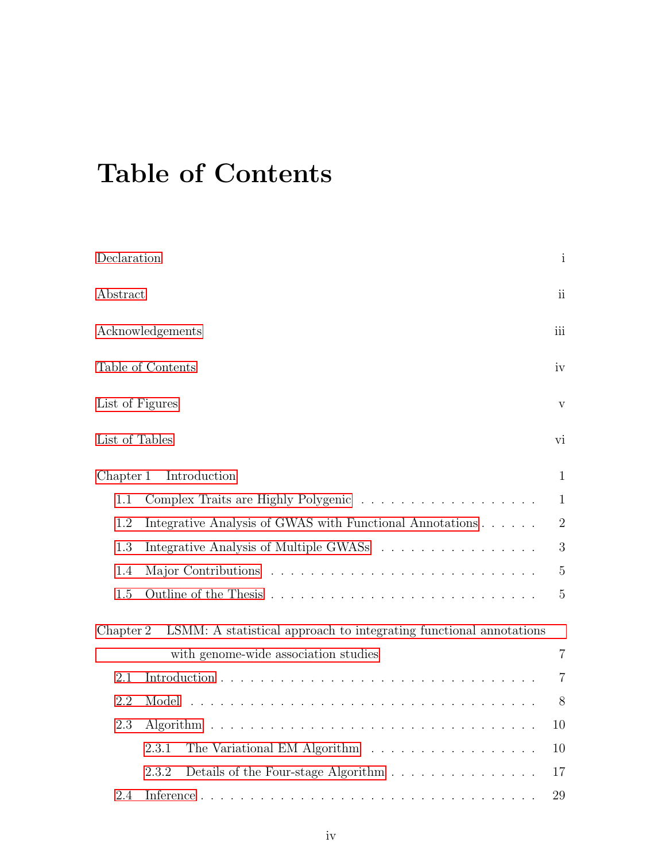# Table of Contents

| Declaration     |                                                                    | $\mathbf{i}$   |  |  |
|-----------------|--------------------------------------------------------------------|----------------|--|--|
| Abstract        |                                                                    | $\mathbf{ii}$  |  |  |
|                 | Acknowledgements                                                   | iii            |  |  |
|                 | Table of Contents                                                  | iv             |  |  |
| List of Figures |                                                                    | $\mathbf{V}$   |  |  |
| List of Tables  |                                                                    | vi             |  |  |
| Chapter 1       | Introduction                                                       | $\mathbf{1}$   |  |  |
| 1.1             |                                                                    | $\mathbf{1}$   |  |  |
| 1.2             | Integrative Analysis of GWAS with Functional Annotations           | $\overline{2}$ |  |  |
| 1.3             | Integrative Analysis of Multiple GWASS                             |                |  |  |
| 1.4             |                                                                    |                |  |  |
| 1.5             |                                                                    |                |  |  |
| Chapter 2       | LSMM: A statistical approach to integrating functional annotations |                |  |  |
|                 | with genome-wide association studies                               | $\overline{7}$ |  |  |
| 2.1             |                                                                    | $\overline{7}$ |  |  |
| 2.2             |                                                                    | 8              |  |  |
| 2.3             | Algorithm                                                          | 10             |  |  |
|                 | The Variational EM Algorithm<br>2.3.1                              | 10             |  |  |
|                 | 2.3.2<br>Details of the Four-stage Algorithm                       | 17             |  |  |
| 2.4             |                                                                    | 29             |  |  |